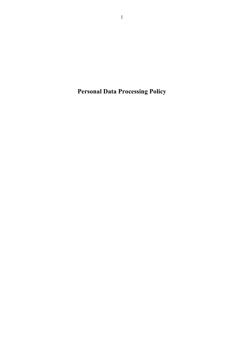**Personal Data Processing Policy**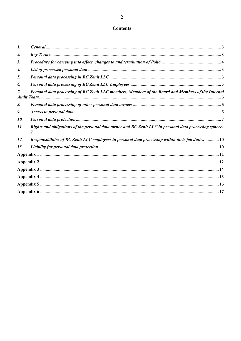# **Contents**

| 1.  |                                                                                                        |  |
|-----|--------------------------------------------------------------------------------------------------------|--|
| 2.  |                                                                                                        |  |
| 3.  |                                                                                                        |  |
| 4.  |                                                                                                        |  |
| 5.  |                                                                                                        |  |
| 6.  |                                                                                                        |  |
|     | Personal data processing of BC Zenit LLC members, Members of the Board and Members of the Internal     |  |
| 8.  |                                                                                                        |  |
| 9.  |                                                                                                        |  |
| 10. |                                                                                                        |  |
| 11. | Rights and obligations of the personal data owner and BC Zenit LLC in personal data processing sphere. |  |
| 12. | Responsibilities of BC Zenit LLC employees in personal data processing within their job duties10       |  |
| 13. |                                                                                                        |  |
|     |                                                                                                        |  |
|     |                                                                                                        |  |
|     |                                                                                                        |  |
|     |                                                                                                        |  |
|     |                                                                                                        |  |
|     |                                                                                                        |  |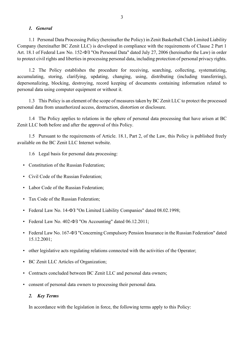#### *1. General*

<span id="page-2-0"></span>1.1 Personal Data Processing Policy (hereinafter the Policy) in Zenit Basketball Club Limited Liability Company (hereinafter BC Zenit LLC) is developed in compliance with the requirements of Clause 2 Part 1 Art. 18.1 of Federal Law No. 152-ФЗ "On Personal Data" dated July 27, 2006 (hereinafter the Law) in order to protect civil rights and liberties in processing personal data, including protection of personal privacy rights.

1.2 The Policy establishes the procedure for receiving, searching, collecting, systematizing, accumulating, storing, clarifying, updating, changing, using, distributing (including transferring), depersonalizing, blocking, destroying, record keeping of documents containing information related to personal data using computer equipment or without it.

1.3 This Policy is an element of the scope of measures taken by BC Zenit LLC to protect the processed personal data from unauthorized access, destruction, distortion or disclosure.

1.4 The Policy applies to relations in the sphere of personal data processing that have arisen at BC Zenit LLC both before and after the approval of this Policy.

1.5 Pursuant to the requirements of Article. 18.1, Part 2, of the Law, this Policy is published freely available on the BC Zenit LLC Internet website.

1.6 Legal basis for personal data processing:

- Constitution of the Russian Federation;
- Civil Code of the Russian Federation;
- Labor Code of the Russian Federation;
- Tax Code of the Russian Federation:
- Federal Law No. 14-ФЗ "On Limited Liability Companies" dated 08.02.1998;
- Federal Law No. 402- $\Phi$ 3 "On Accounting" dated 06.12.2011;
- Federal Law No. 167- $\Phi$ 3 "Concerning Compulsory Pension Insurance in the Russian Federation" dated 15.12.2001;
- other legislative acts regulating relations connected with the activities of the Operator;
- BC Zenit LLC Articles of Organization;
- Contracts concluded between BC Zenit LLC and personal data owners;
- consent of personal data owners to processing their personal data.

#### <span id="page-2-1"></span>*2. Key Terms*

In accordance with the legislation in force, the following terms apply to this Policy: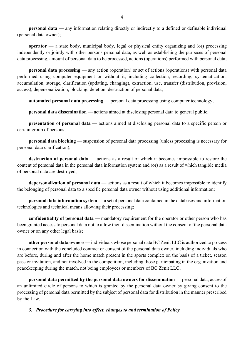**personal data** — any information relating directly or indirectly to a defined or definable individual (personal data owner);

**operator** — a state body, municipal body, legal or physical entity organizing and (or) processing independently or jointly with other persons personal data, as well as establishing the purposes of personal data processing, amount of personal data to be processed, actions (operations) performed with personal data;

**personal data processing** — any action (operation) or set of actions (operations) with personal data performed using computer equipment or without it, including collection, recording, systematization, accumulation, storage, clarification (updating, changing), extraction, use, transfer (distribution, provision, access), depersonalization, blocking, deletion, destruction of personal data;

**automated personal data processing** — personal data processing using computer technology;

**personal data dissemination** — actions aimed at disclosing personal data to general public;

**presentation of personal data** — actions aimed at disclosing personal data to a specific person or certain group of persons;

**personal data blocking** — suspension of personal data processing (unless processing is necessary for personal data clarification);

**destruction of personal data** — actions as a result of which it becomes impossible to restore the content of personal data in the personal data information system and (or) as a result of which tangible media of personal data are destroyed;

**depersonalization of personal data** — actions as a result of which it becomes impossible to identify the belonging of personal data to a specific personal data owner without using additional information;

**personal data information system** — a set of personal data contained in the databases and information technologies and technical means allowing their processing;

**confidentiality of personal data** — mandatory requirement for the operator or other person who has been granted access to personal data not to allow their dissemination without the consent of the personal data owner or on any other legal basis;

**other personal data owners** — individuals whose personal data BC Zenit LLC is authorized to process in connection with the concluded contract or consent of the personal data owner, including individuals who are before, during and after the home match present in the sports complex on the basis of a ticket, season pass or invitation, and not involved in the competition, including those participating in the organization and peacekeeping during the match, not being employees or members of BC Zenit LLC;

**personal data permitted by the personal data owners for dissemination** — personal data, accessof an unlimited circle of persons to which is granted by the personal data owner by giving consent to the processing of personal data permitted by the subject of personal data for distribution in the manner prescribed by the Law.

<span id="page-3-0"></span>*3. Procedure for carrying into effect, changes to and termination of Policy*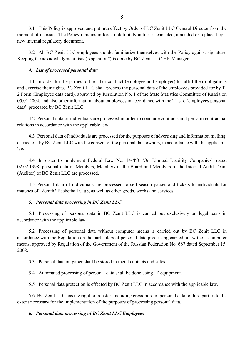3.1 This Policy is approved and put into effect by Order of BC Zenit LLC General Director from the moment of its issue. The Policy remains in force indefinitely until it is canceled, amended or replaced by a new internal regulatory document.

3.2 All BC Zenit LLC employees should familiarize themselves with the Policy against signature. Keeping the acknowledgment lists (Appendix 7) is done by BC Zenit LLC HR Manager.

### *4. List of processed personal data*

<span id="page-4-0"></span>4.1 In order for the parties to the labor contract (employee and employer) to fulfill their obligations and exercise their rights, BC Zenit LLC shall process the personal data of the employees provided for by T-2 Form (Employee data card), approved by Resolution No. 1 of the State Statistics Committee of Russia on 05.01.2004, and also other information about employees in accordance with the "List of employees personal data" processed by BC Zenit LLC.

4.2 Personal data of individuals are processed in order to conclude contracts and perform contractual relations in accordance with the applicable law.

4.3 Personal data of individuals are processed for the purposes of advertising and information mailing, carried out by BC Zenit LLC with the consent of the personal data owners, in accordance with the applicable law.

4.4 In order to implement Federal Law No. 14-ФЗ "On Limited Liability Companies" dated 02.02.1998, personal data of Members, Members of the Board and Members of the Internal Audit Team (Auditor) of BC Zenit LLC are processed.

4.5 Personal data of individuals are processed to sell season passes and tickets to individuals for matches of "Zenith" Basketball Club, as well as other goods, works and services.

### *5. Personal data processing in BC Zenit LLC*

<span id="page-4-1"></span>5.1 Processing of personal data in BC Zenit LLC is carried out exclusively on legal basis in accordance with the applicable law.

5.2 Processing of personal data without computer means is carried out by BC Zenit LLC in accordance with the Regulation on the particulars of personal data processing carried out without computer means, approved by Regulation of the Government of the Russian Federation No. 687 dated September 15, 2008.

5.3 Personal data on paper shall be stored in metal cabinets and safes.

5.4 Automated processing of personal data shall be done using IT-equipment.

5.5 Personal data protection is effected by BC Zenit LLC in accordance with the applicable law.

5.6. BC Zenit LLC has the right to transfer, including cross-border, personal data to third parties to the extent necessary for the implementation of the purposes of processing personal data.

### <span id="page-4-2"></span>*6. Personal data processing of BC Zenit LLC Employees*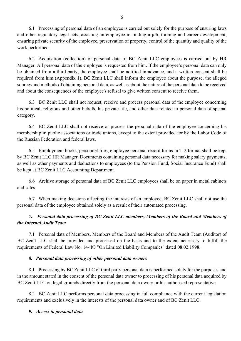6.1 Processing of personal data of an employee is carried out solely for the purpose of ensuring laws and other regulatory legal acts, assisting an employee in finding a job, training and career development, ensuring private security of the employee, preservation of property, control of the quantity and quality of the work performed.

6.2 Acquisition (collection) of personal data of BC Zenit LLC employees is carried out by HR Manager. All personal data of the employee is requested from him. If the employee's personal data can only be obtained from a third party, the employee shall be notified in advance, and a written consent shall be required from him (Appendix 1). BC Zenit LLC shall inform the employee about the purpose, the alleged sources and methods of obtaining personal data, as well as about the nature of the personal data to be received and about the consequences of the employee's refusal to give written consent to receive them.

6.3 BC Zenit LLC shall not request, receive and process personal data of the employee concerning his political, religious and other beliefs, his private life, and other data related to personal data of special category.

6.4 BC Zenit LLC shall not receive or process the personal data of the employee concerning his membership in public associations or trade unions, except to the extent provided for by the Labor Code of the Russian Federation and federal laws.

6.5 Employment books, personnel files, employee personal record forms in T-2 format shall be kept by BC Zenit LLC HR Manager. Documents containing personal data necessary for making salary payments, as well as other payments and deductions to employees (to the Pension Fund, Social Insurance Fund) shall be kept at BC Zenit LLC Accounting Department.

6.6 Archive storage of personal data of BC Zenit LLC employees shall be on paper in metal cabinets and safes.

6.7 When making decisions affecting the interests of an employee, BC Zenit LLC shall not use the personal data of the employee obtained solely as a result of their automated processing.

# <span id="page-5-0"></span>*7. Personal data processing of BC Zenit LLC members, Members of the Board and Members of the Internal Audit Team*

7.1 Personal data of Members, Members of the Board and Members of the Audit Team (Auditor) of BC Zenit LLC shall be provided and processed on the basis and to the extent necessary to fulfill the requirements of Federal Law No. 14-ФЗ "On Limited Liability Companies" dated 08.02.1998.

### *8. Personal data processing of other personal data owners*

<span id="page-5-1"></span>8.1 Processing by BC Zenit LLC of third party personal data is performed solely for the purposes and in the amount stated in the consent of the personal data owner to processing of his personal data acquired by BC Zenit LLC on legal grounds directly from the personal data owner or his authorized representative.

8.2 BC Zenit LLC performs personal data processing in full compliance with the current legislation requirements and exclusively in the interests of the personal data owner and of BC Zenit LLC.

## <span id="page-5-2"></span>*9. Access to personal data*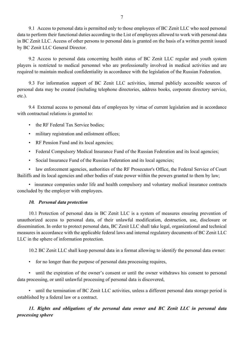9.1 Access to personal data is permitted only to those employees of BC Zenit LLC who need personal data to perform their functional duties according to the List of employees allowed to work with personal data in BC Zenit LLC. Access of other persons to personal data is granted on the basis of a written permit issued by BC Zenit LLC General Director.

9.2 Access to personal data concerning health status of BC Zenit LLC regular and youth system players is restricted to medical personnel who are professionally involved in medical activities and are required to maintain medical confidentiality in accordance with the legislation of the Russian Federation.

9.3 For information support of BC Zenit LLC activities, internal publicly accessible sources of personal data may be created (including telephone directories, address books, corporate directory service, etc.).

9.4 External access to personal data of employees by virtue of current legislation and in accordance with contractual relations is granted to:

- the RF Federal Tax Service bodies;
- military registration and enlistment offices;
- RF Pension Fund and its local agencies;
- Federal Compulsory Medical Insurance Fund of the Russian Federation and its local agencies;
- Social Insurance Fund of the Russian Federation and its local agencies;

• law enforcement agencies, authorities of the RF Prosecutor's Office, the Federal Service of Court Bailiffs and its local agencies and other bodies of state power within the powers granted to them by law;

• insurance companies under life and health compulsory and voluntary medical insurance contracts concluded by the employer with employees.

## <span id="page-6-0"></span>*10. Personal data protection*

10.1 Protection of personal data in BC Zenit LLC is a system of measures ensuring prevention of unauthorized access to personal data, of their unlawful modification, destruction, use, disclosure or dissemination. In order to protect personal data, BC Zenit LLC shall take legal, organizational and technical measures in accordance with the applicable federal laws and internal regulatory documents of BC Zenit LLC LLC in the sphere of information protection.

10.2 BC Zenit LLC shall keep personal data in a format allowing to identify the personal data owner:

• for no longer than the purpose of personal data processing requires,

• until the expiration of the owner's consent or until the owner withdraws his consent to personal data processing, or until unlawful processing of personal data is discovered,

• until the termination of BC Zenit LLC activities, unless a different personal data storage period is established by a federal law or a contract.

<span id="page-6-1"></span>*11. Rights and obligations of the personal data owner and BC Zenit LLC in personal data processing sphere*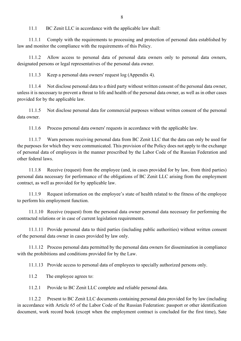11.1 BC Zenit LLC in accordance with the applicable law shall:

11.1.1 Comply with the requirements to processing and protection of personal data established by law and monitor the compliance with the requirements of this Policy.

11.1.2 Allow access to personal data of personal data owners only to personal data owners, designated persons or legal representatives of the personal data owner.

11.1.3 Keep a personal data owners' request log (Appendix 4).

11.1.4 Not disclose personal data to a third party without written consent of the personal data owner, unless it is necessary to prevent a threat to life and health of the personal data owner, as well as in other cases provided for by the applicable law.

11.1.5 Not disclose personal data for commercial purposes without written consent of the personal data owner.

11.1.6 Process personal data owners' requests in accordance with the applicable law.

11.1.7 Warn persons receiving personal data from BC Zenit LLC that the data can only be used for the purposes for which they were communicated. This provision of the Policy does not apply to the exchange of personal data of employees in the manner prescribed by the Labor Code of the Russian Federation and other federal laws.

11.1.8 Receive (request) from the employee (and, in cases provided for by law, from third parties) personal data necessary for performance of the obligations of BC Zenit LLC arising from the employment contract, as well as provided for by applicable law.

11.1.9 Request information on the employee's state of health related to the fitness of the employee to perform his employment function.

11.1.10 Receive (request) from the personal data owner personal data necessary for performing the contracted relations or in case of current legislation requirements.

11.1.11 Provide personal data to third parties (including public authorities) without written consent of the personal data owner in cases provided by law only.

11.1.12 Process personal data permitted by the personal data owners for dissemination in compliance with the prohibitions and conditions provided for by the Law.

11.1.13 Provide access to personal data of employees to specially authorized persons only.

11.2 The employee agrees to:

11.2.1 Provide to BC Zenit LLC complete and reliable personal data.

11.2.2 Present to BC Zenit LLC documents containing personal data provided for by law (including in accordance with Article 65 of the Labor Code of the Russian Federation: passport or other identification document, work record book (except when the employment contract is concluded for the first time), Sate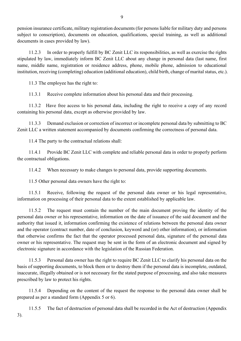pension insurance certificate, military registration documents (for persons liable for military duty and persons subject to conscription), documents on education, qualifications, special training, as well as additional documents in cases provided by law).

11.2.3 In order to properly fulfill by BC Zenit LLC its responsibilities, as well as exercise the rights stipulated by law, immediately inform BC Zenit LLC about any change in personal data (last name, first name, middle name, registration or residence address, phone, mobile phone, admission to educational institution, receiving (completing) education (additional education), child birth, change of marital status, etc.).

11.3 The employee has the right to:

11.3.1 Receive complete information about his personal data and their processing.

11.3.2 Have free access to his personal data, including the right to receive a copy of any record containing his personal data, except as otherwise provided by law.

11.3.3 Demand exclusion or correction of incorrect or incomplete personal data by submitting to BC Zenit LLC a written statement accompanied by documents confirming the correctness of personal data.

11.4 The party to the contractual relations shall:

11.4.1 Provide BC Zenit LLC with complete and reliable personal data in order to properly perform the contractual obligations.

11.4.2 When necessary to make changes to personal data, provide supporting documents.

11.5 Other personal data owners have the right to:

11.5.1 Receive, following the request of the personal data owner or his legal representative, information on processing of their personal data to the extent established by applicable law.

11.5.2 The request must contain the number of the main document proving the identity of the personal data owner or his representative, information on the date of issuance of the said document and the authority that issued it, information confirming the existence of relations between the personal data owner and the operator (contract number, date of conclusion, keyword and (or) other information), or information that otherwise confirms the fact that the operator processed personal data, signature of the personal data owner or his representative. The request may be sent in the form of an electronic document and signed by electronic signature in accordance with the legislation of the Russian Federation.

11.5.3 Personal data owner has the right to require BC Zenit LLC to clarify his personal data on the basis of supporting documents, to block them or to destroy them if the personal data is incomplete, outdated, inaccurate, illegally obtained or is not necessary for the stated purpose of processing, and also take measures prescribed by law to protect his rights.

11.5.4 Depending on the content of the request the response to the personal data owner shall be prepared as per a standard form (Appendix 5 or 6).

11.5.5 The fact of destruction of personal data shall be recorded in the Act of destruction (Appendix 3).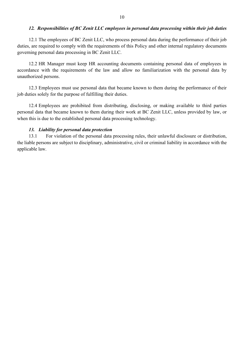#### *12. Responsibilities of BC Zenit LLC employees in personal data processing within their job duties*

<span id="page-9-0"></span>12.1 The employees of BC Zenit LLC, who process personal data during the performance of their job duties, are required to comply with the requirements of this Policy and other internal regulatory documents governing personal data processing in BC Zenit LLC.

12.2 HR Manager must keep HR accounting documents containing personal data of employees in accordance with the requirements of the law and allow no familiarization with the personal data by unauthorized persons.

12.3 Employees must use personal data that became known to them during the performance of their job duties solely for the purpose of fulfilling their duties.

12.4 Employees are prohibited from distributing, disclosing, or making available to third parties personal data that became known to them during their work at BC Zenit LLC, unless provided by law, or when this is due to the established personal data processing technology.

#### <span id="page-9-1"></span>*13. Liability for personal data protection*

13.1 For violation of the personal data processing rules, their unlawful disclosure or distribution, the liable persons are subject to disciplinary, administrative, civil or criminal liability in accordance with the applicable law.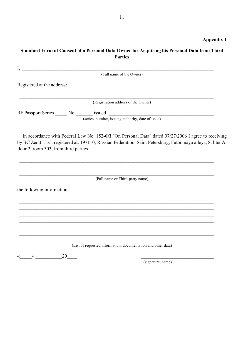# <span id="page-10-0"></span>**Standard Form of Consent of a Personal Data Owner for Acquiring his Personal Data from Third Parties**

| I,                                                                       |    |                                                                                                                                                                                                                           |  |
|--------------------------------------------------------------------------|----|---------------------------------------------------------------------------------------------------------------------------------------------------------------------------------------------------------------------------|--|
|                                                                          |    | (Full name of the Owner)                                                                                                                                                                                                  |  |
| Registered at the address:                                               |    |                                                                                                                                                                                                                           |  |
|                                                                          |    | (Registration address of the Owner)                                                                                                                                                                                       |  |
|                                                                          |    |                                                                                                                                                                                                                           |  |
|                                                                          |    |                                                                                                                                                                                                                           |  |
| floor 2, room 303, from third parties                                    |    | in accordance with Federal Law No. 152- $\Phi$ 3 "On Personal Data" dated 07/27/2006 I agree to receiving<br>by BC Zenit LLC, registered at: 197110, Russian Federation, Saint Petersburg, Futbolnaya alleya, 8, liter A, |  |
|                                                                          |    | (Full name or Third-party name)                                                                                                                                                                                           |  |
| the following information:                                               |    |                                                                                                                                                                                                                           |  |
|                                                                          |    |                                                                                                                                                                                                                           |  |
|                                                                          |    |                                                                                                                                                                                                                           |  |
|                                                                          |    |                                                                                                                                                                                                                           |  |
|                                                                          |    |                                                                                                                                                                                                                           |  |
|                                                                          |    |                                                                                                                                                                                                                           |  |
|                                                                          |    | (List of requested information, documentation and other data)                                                                                                                                                             |  |
| $\left\langle \left\langle \right\rangle \right\rangle$<br>$\rightarrow$ | 20 |                                                                                                                                                                                                                           |  |
|                                                                          |    | (signature, name)                                                                                                                                                                                                         |  |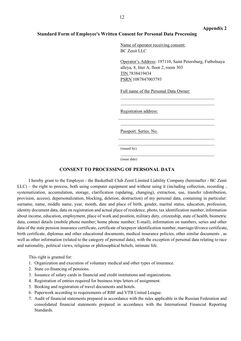#### **Appendix 2**

#### <span id="page-11-0"></span>**Standard Form of Employee's Written Consent for Personal Data Processing**

Name of operator receiving consent: BC Zenit LLC

Operator's Address: 197110, Saint Petersburg, Futbolnaya alleya, 8, liter A, floor 2, room 303 TIN 7838419434 PSRN 1087847003793

\_\_\_\_\_\_\_\_\_\_\_\_\_\_\_\_\_\_\_\_\_\_\_\_\_\_\_\_\_\_\_\_\_\_\_\_\_\_\_\_\_\_  $\mathcal{L}_\text{max}$  , and the set of the set of the set of the set of the set of the set of the set of the set of the set of the set of the set of the set of the set of the set of the set of the set of the set of the set of the

\_\_\_\_\_\_\_\_\_\_\_\_\_\_\_\_\_\_\_\_\_\_\_\_\_\_\_\_\_\_\_\_\_\_\_\_\_\_\_\_\_\_\_  $\mathcal{L}_\text{max}$  and  $\mathcal{L}_\text{max}$  and  $\mathcal{L}_\text{max}$  and  $\mathcal{L}_\text{max}$  and  $\mathcal{L}_\text{max}$ 

\_\_\_\_\_\_\_\_\_\_\_\_\_\_\_\_\_\_\_\_\_\_\_\_\_\_\_\_\_\_\_\_\_\_\_\_\_\_\_\_\_\_\_ \_\_\_\_\_\_\_\_\_\_\_\_\_\_\_\_\_\_\_\_\_\_\_\_\_\_\_\_\_\_\_\_\_\_\_\_\_\_\_\_\_\_\_

\_\_\_\_\_\_\_\_\_\_\_\_\_\_\_\_\_\_\_\_\_\_\_\_\_\_\_\_\_\_\_\_\_\_\_\_\_\_\_\_\_\_

Full name of the Personal Data Owner:

Registration address:

Passport: Series. No.

(issued by)

(issue date)

#### **CONSENT TO PROCESSING OF PERSONAL DATA**

I hereby grant to the Employer - the Basketball Club Zenit Limited Liability Company (hereinafter - BC Zenit LLC) – the right to process, both using computer equipment and without using it (including collection, recording , systematization, accumulation, storage, clarification (updating, changing), extraction, use, transfer (distribution, provision, access), depersonalization, blocking, deletion, destruction) of my personal data, containing in particular: surname, name, middle name, year, month, date and place of birth, gender, marital status, education, profession, identity document data, data on registration and actual place of residence, photo, tax identification number, information about income, education, employment, place of work and position, military duty, citizenship, state of health, biometric data, contact details (mobile phone number; home phone number; E-mail), information on numbers, series and other data of the state pension insurance certificate, certificate of taxpayer identification number, marriage/divorce certificate, birth certificate, diplomas and other educational documents, medical insurance policies, other similar documents , as well as other information (related to the category of personal data), with the exception of personal data relating to race and nationality, political views, religious or philosophical beliefs, intimate life.

This right is granted for:

- 1. Organization and execution of voluntary medical and other types of insurance.
- 2. State co-financing of pensions.
- 3. Issuance of salary cards in financial and credit institutions and organizations.
- 4. Registration of entries required for business trips letters of assignment.
- 5. Booking and registration of travel documents and hotels.
- 6. Paperwork according to requirements of RBF and VTB United League.
- 7. Audit of financial statements prepared in accordance with the rules applicable in the Russian Federation and consolidated financial statements prepared in accordance with the International Financial Reporting Standards.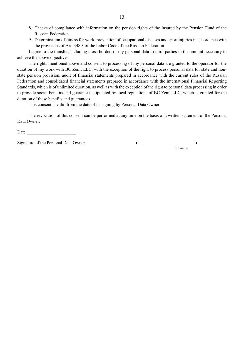- 8. Checks of compliance with information on the pension rights of the insured by the Pension Fund of the Russian Federation.
- 9. Determination of fitness for work, prevention of occupational diseases and sport injuries in accordance with the provisions of Art. 348.3 of the Labor Code of the Russian Federation

I agree to the transfer, including cross-border, of my personal data to third parties in the amount necessary to achieve the above objectives.

The rights mentioned above and consent to processing of my personal data are granted to the operator for the duration of my work with BC Zenit LLC, with the exception of the right to process personal data for state and nonstate pension provision, audit of financial statements prepared in accordance with the current rules of the Russian Federation and consolidated financial statements prepared in accordance with the International Financial Reporting Standards, which is of unlimited duration, as well as with the exception of the right to personal data processing in order to provide social benefits and guarantees stipulated by local regulations of BC Zenit LLC, which is granted for the duration of these benefits and guarantees.

This consent is valid from the date of its signing by Personal Data Owner.

The revocation of this consent can be performed at any time on the basis of a written statement of the Personal Data Owner.

Date \_\_\_\_\_\_\_\_\_\_\_\_\_\_\_\_\_\_\_\_\_\_ Signature of the Personal Data Owner  $\blacksquare$ Full name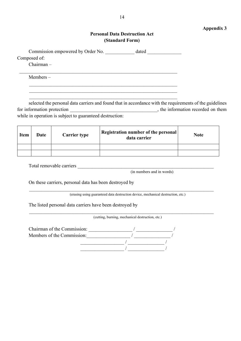### **Appendix 3**

## **Personal Data Destruction Act (Standard Form)**

<span id="page-13-0"></span>

| Commission empowered by Order No. | dated |
|-----------------------------------|-------|
| Composed of:                      |       |
| $Chairman -$                      |       |

 $\_$  , and the set of the set of the set of the set of the set of the set of the set of the set of the set of the set of the set of the set of the set of the set of the set of the set of the set of the set of the set of th  $\_$  , and the set of the set of the set of the set of the set of the set of the set of the set of the set of the set of the set of the set of the set of the set of the set of the set of the set of the set of the set of th  $\_$  , and the set of the set of the set of the set of the set of the set of the set of the set of the set of the set of the set of the set of the set of the set of the set of the set of the set of the set of the set of th

Members –

selected the personal data carriers and found that in accordance with the requirements of the guidelines for information protection \_\_\_\_\_\_\_\_\_\_\_\_\_\_\_\_\_\_\_\_\_\_\_\_\_\_\_\_\_\_\_\_\_\_\_, the information recorded on them while in operation is subject to guaranteed destruction:

| <b>Item</b> | Date | <b>Carrier type</b> | Registration number of the personal<br>data carrier | <b>Note</b> |
|-------------|------|---------------------|-----------------------------------------------------|-------------|
|             |      |                     |                                                     |             |
|             |      |                     |                                                     |             |

Total removable carriers

(in numbers and in words)

On these carriers, personal data has been destroyed by

(erasing using guaranteed data destruction device, mechanical destruction, etc.)

\_\_\_\_\_\_\_\_\_\_\_\_\_\_\_\_\_\_\_\_\_\_\_\_\_\_\_\_\_\_\_\_\_\_\_\_\_\_\_\_\_\_\_\_\_\_\_\_\_\_\_\_\_\_\_\_\_\_\_\_\_\_\_\_\_\_\_\_\_\_\_\_\_\_\_\_

\_\_\_\_\_\_\_\_\_\_\_\_\_\_\_\_\_\_\_\_\_\_\_\_\_\_\_\_\_\_\_\_\_\_\_\_\_\_\_\_\_\_\_\_\_\_\_\_\_\_\_\_\_\_\_\_\_\_\_\_\_\_\_\_\_\_\_\_\_\_\_\_\_\_\_\_

The listed personal data carriers have been destroyed by

(cutting, burning, mechanical destruction, etc.)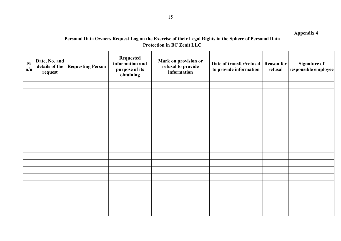# **Personal Data Owners Request Log on the Exercise of their Legal Rights in the Sphere of Personal Data Protection in BC Zenit LLC**

<span id="page-14-0"></span>

| $N_2$<br>$\Pi/\Pi$ | Date, No. and<br>details of the<br>request | <b>Requesting Person</b> | <b>Requested</b><br>information and<br>purpose of its<br>obtaining | Mark on provision or<br>refusal to provide<br>information | Date of transfer/refusal   Reason for<br>to provide information | refusal | <b>Signature of</b><br>responsible employee |
|--------------------|--------------------------------------------|--------------------------|--------------------------------------------------------------------|-----------------------------------------------------------|-----------------------------------------------------------------|---------|---------------------------------------------|
|                    |                                            |                          |                                                                    |                                                           |                                                                 |         |                                             |
|                    |                                            |                          |                                                                    |                                                           |                                                                 |         |                                             |
|                    |                                            |                          |                                                                    |                                                           |                                                                 |         |                                             |
|                    |                                            |                          |                                                                    |                                                           |                                                                 |         |                                             |
|                    |                                            |                          |                                                                    |                                                           |                                                                 |         |                                             |
|                    |                                            |                          |                                                                    |                                                           |                                                                 |         |                                             |
|                    |                                            |                          |                                                                    |                                                           |                                                                 |         |                                             |
|                    |                                            |                          |                                                                    |                                                           |                                                                 |         |                                             |
|                    |                                            |                          |                                                                    |                                                           |                                                                 |         |                                             |
|                    |                                            |                          |                                                                    |                                                           |                                                                 |         |                                             |
|                    |                                            |                          |                                                                    |                                                           |                                                                 |         |                                             |
|                    |                                            |                          |                                                                    |                                                           |                                                                 |         |                                             |
|                    |                                            |                          |                                                                    |                                                           |                                                                 |         |                                             |
|                    |                                            |                          |                                                                    |                                                           |                                                                 |         |                                             |
|                    |                                            |                          |                                                                    |                                                           |                                                                 |         |                                             |
|                    |                                            |                          |                                                                    |                                                           |                                                                 |         |                                             |
|                    |                                            |                          |                                                                    |                                                           |                                                                 |         |                                             |
|                    |                                            |                          |                                                                    |                                                           |                                                                 |         |                                             |
|                    |                                            |                          |                                                                    |                                                           |                                                                 |         |                                             |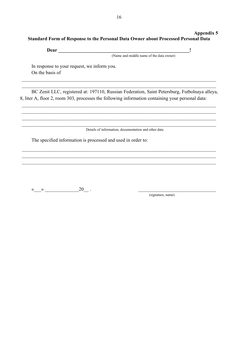## <span id="page-15-0"></span>**Appendix 5 Standard Form of Response to the Personal Data Owner about Processed Personal Data**

**Dear \_\_\_\_\_\_\_\_\_\_\_\_\_\_\_\_\_\_\_\_\_\_\_\_\_\_\_\_\_\_\_\_\_\_\_\_\_\_\_\_\_\_\_\_\_\_\_\_\_\_\_\_\_\_!**

(Name and middle name of the data owner)

In response to your request, we inform you. On the basis of

BC Zenit LLC, registered at: 197110, Russian Federation, Saint Petersburg, Futbolnaya alleya, 8, liter A, floor 2, room 303, processes the following information containing your personal data:

\_\_\_\_\_\_\_\_\_\_\_\_\_\_\_\_\_\_\_\_\_\_\_\_\_\_\_\_\_\_\_\_\_\_\_\_\_\_\_\_\_\_\_\_\_\_\_\_\_\_\_\_\_\_\_\_\_\_\_\_\_\_\_\_\_\_\_\_\_\_\_\_\_\_\_\_\_\_\_\_ \_\_\_\_\_\_\_\_\_\_\_\_\_\_\_\_\_\_\_\_\_\_\_\_\_\_\_\_\_\_\_\_\_\_\_\_\_\_\_\_\_\_\_\_\_\_\_\_\_\_\_\_\_\_\_\_\_\_\_\_\_\_\_\_\_\_\_\_\_\_\_\_\_\_\_\_\_\_\_\_ \_\_\_\_\_\_\_\_\_\_\_\_\_\_\_\_\_\_\_\_\_\_\_\_\_\_\_\_\_\_\_\_\_\_\_\_\_\_\_\_\_\_\_\_\_\_\_\_\_\_\_\_\_\_\_\_\_\_\_\_\_\_\_\_\_\_\_\_\_\_\_\_\_\_\_\_\_\_\_\_

\_\_\_\_\_\_\_\_\_\_\_\_\_\_\_\_\_\_\_\_\_\_\_\_\_\_\_\_\_\_\_\_\_\_\_\_\_\_\_\_\_\_\_\_\_\_\_\_\_\_\_\_\_\_\_\_\_\_\_\_\_\_\_\_\_\_\_\_\_\_\_\_\_\_\_\_\_\_\_\_ \_\_\_\_\_\_\_\_\_\_\_\_\_\_\_\_\_\_\_\_\_\_\_\_\_\_\_\_\_\_\_\_\_\_\_\_\_\_\_\_\_\_\_\_\_\_\_\_\_\_\_\_\_\_\_\_\_\_\_\_\_\_\_\_\_\_\_\_\_\_\_\_\_\_\_\_\_\_\_\_

\_\_\_\_\_\_\_\_\_\_\_\_\_\_\_\_\_\_\_\_\_\_\_\_\_\_\_\_\_\_\_\_\_\_\_\_\_\_\_\_\_\_\_\_\_\_\_\_\_\_\_\_\_\_\_\_\_\_\_\_\_\_\_\_\_\_\_\_\_\_\_\_\_\_\_\_\_\_\_\_

Details of information, documentation and other data

The specified information is processed and used in order to:

« $\longrightarrow$  20.

(signature, name)